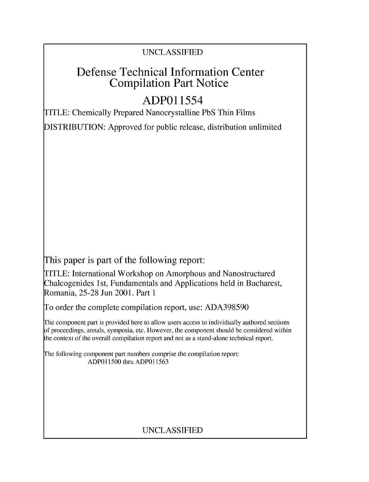## UNCLASSIFIED

# Defense Technical Information Center Compilation Part Notice

# **ADPO1** 1554

TITLE: Chemically Prepared Nanocrystalline PbS Thin Films

DISTRIBUTION: Approved for public release, distribution unlimited

This paper is part of the following report:

TITLE: International Workshop on Amorphous and Nanostructured Chalcogenides 1 st, Fundamentals and Applications held in Bucharest, Romania, 25-28 Jun 2001. Part 1

To order the complete compilation report, use: ADA398590

The component part is provided here to allow users access to individually authored sections f proceedings, annals, symposia, etc. However, the component should be considered within [he context of the overall compilation report and not as a stand-alone technical report.

The following component part numbers comprise the compilation report: ADPO11500 thru ADP011563

## UNCLASSIFIED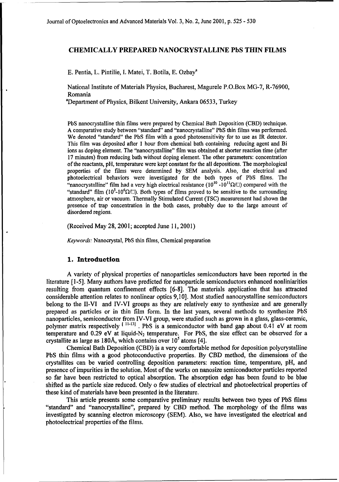### CHEMICALLY PREPARED **NANOCRYSTALLINE PbS THIN** FILMS

**E.** Pentia, L. Pintilie, **I.** Matei, T. Botila, **E.** Ozbaya

National Institute of Materials Physics, Bucharest, Magurele P.O.Box MG-7, R-76900, Romania

<sup>a</sup>Department of Physics, Bilkent University, Ankara 06533, Turkey

PbS nanocrystalline thin films were prepared by Chemical Bath Deposition (CBD) technique. A comparative study between "standard" and "nanocrystalline" PbS thin films was performed. We denoted "standard" the PbS film with a good photosensitivity for to use as IR detector. This film was deposited after 1 hour from chemical bath containing reducing agent and Bi ions as doping element. The "nanocrystalline" film was obtained at shorter reaction time (after 17 minutes) from reducing bath without doping element. The other parameters: concentration of the reactants, pH, temperature were kept constant for the all depositions. The morphological properties of the films were determined by SEM analysis. Also, the electrical and photoelectrical behaviors were investigated for the both types of PbS films. The "nanocrystalline" film had a very high electrical resistance  $(10^{10} - 10^{11} \Omega/\Box)$  compared with the "standard" film  $(10^5 \text{-} 10^6 \Omega/\square)$ . Both types of films proved to be sensitive to the surrounding atmosphere, air or vacuum. Thermally Stimulated Current (TSC) measurement had shown the presence of trap concentration in the both cases, probably due to the large amount of disordered regions.

(Received May 28, 2001; accepted June **11,** 2001)

*Keywords:* Nanocrystal, PbS thin films, Chemical preparation

#### **1.** Introduction

A variety of physical properties of nanoparticles semiconductors have been reported in the literature **[1-5].** Many authors have predicted for nanoparticle semiconductors enhanced nonliniarities resulting from quantum confinement effects [6-8]. The materials application that has attracted considerable attention relates to nonlinear optics 9,10]. Most studied nanocrystalline semiconductors belong to the 1I-VI and IV-VI groups as they are relatively easy to synthesize and are generally prepared as particles or in thin film form. In the last years, several methods to synthesize PbS nanoparticles, semiconductor from IV-VI group, were studied such as grown in a glass, glass-ceramic, polymer matrix respectively <sup>[11-13]</sup>. PbS is a semiconductor with band gap about 0.41 eV at room temperature and 0.29 eV at liquid- $N_2$  temperature. For PbS, the size effect can be observed for a crystallite as large as **180A,** which contains over **105** atoms [4].

Chemical Bath Deposition (CBD) is a very comfortable method for deposition polycrystalline PbS thin films with a good photoconductive properties. By CBD method, the dimensions of the crystallites can be varied controlling deposition parameters: reaction time, temperature, pH, and presence of impurities in the solution. Most of the works on nanosize semiconductor particles reported so far have been restricted to optical absorption. The absorption edge has been found to be blue shifted as the particle size reduced. Only o few studies of electrical and photoelectrical properties of these kind of materials have been presented in the literature.

This article presents some comparative preliminary results between two types of PbS films "standard" and "nanocrystalline", prepared by CBD method. The morphology of the films was investigated by scanning electron microscopy (SEM). Also, we have investigated the electrical and photoelectrical properties of the films.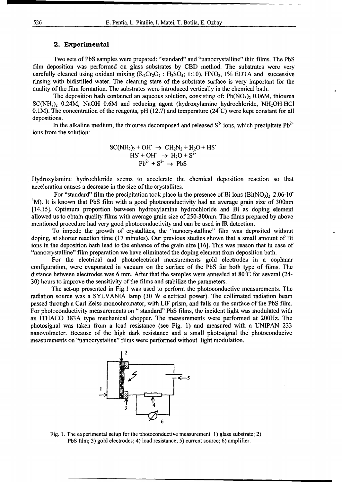#### 2. Experimental

Two sets of PbS samples were prepared: "standard" and "nanocrystalline" thin films. The PbS film deposition was performed on glass substrates by CBD method. The substrates were very carefully cleaned using oxidant mixing  $(K_2Cr_2O_7 : H_2SO_4; 1:10)$ ,  $HNO_3$ , 1% EDTA and successive rinsing with bidistilled water. The cleaning state of the substrate surface is very important for the quality of the film formation. The substrates were introduced vertically in the chemical bath.

The deposition bath contained an aqueous solution, consisting of:  $Pb(NO_3)$ , 0.06M, thiourea  $SC(NH<sub>2</sub>)<sub>2</sub>$  0.24M, NaOH 0.6M and reducing agent (hydroxylamine hydrochloride, NH<sub>2</sub>OH·HCl 0.1M). The concentration of the reagents, pH (12.7) and temperature ( $24^{\circ}$ C) were kept constant for all depositions.

In the alkaline medium, the thiourea decomposed and released  $S^2$  ions, which precipitate Pb<sup>2+</sup> ions from the solution:

SC(NH<sub>2</sub>)<sub>2</sub> + OH<sup>-</sup> 
$$
\rightarrow
$$
 CH<sub>2</sub>N<sub>2</sub> + H<sub>2</sub>O + HS<sup>-</sup>  
HS<sup>-</sup> + OH<sup>-</sup>  $\rightarrow$  H<sub>2</sub>O + S<sup>2</sup><sup>-</sup>  
Pb<sup>2+</sup> + S<sup>2-</sup>  $\rightarrow$  PbS

Hydroxylamine hydrochloride seems to accelerate the chemical deposition reaction so that acceleration causes a decrease in the size of the crystallites.

For "standard" film the precipitation took place in the presence of Bi ions  $(Bi(NO<sub>3</sub>)<sub>2</sub> 2.06·10<sup>o</sup>$ <sup>4</sup>M). It is known that PbS film with a good photoconductivity had an average grain size of 300nm [14,15]. Optimum proportion between hydroxylamine hydrochloride and Bi as doping element allowed us to obtain quality films with average grain size of 250-300nm. The films prepared by above mentioned procedure had very good photoconductivity and can be used in IR detection.

To impede the growth of crystallites, the "nanocrystalline" film was deposited without doping, at shorter reaction time (17 minutes). Our previous studies shown that a small amount of Bi ions in the deposition bath lead to the enhance of the grain size [16]. This was reason that in case of "nanocrystalline" film preparation we have eliminated the doping element from deposition bath.

For the electrical and photoelectrical measurements gold electrodes in a coplanar configuration, were evaporated in vacuum on the surface of the PbS for both type of films. The distance between electrodes was 6 mm. After that the samples were annealed at  $80^{\circ}$ C for several (24-30) hours to improve the sensitivity of the films and stabilize the parameters.

The set-up presented in Fig. 1 was used to perform the photoconductive measurements. The radiation source was a SYLVANIA lamp (30 W electrical power). The collimated radiation beam passed through a Carl Zeiss monochromator, with LiF prism, and falls on the surface of the PbS film. For photoconductivity measurements on " standard" PbS films, the incident light was modulated with an ITHACO 383A type mechanical chopper. The measurements were performed at 200Hz. The photosignal was taken from a load resistance (see Fig. 1) and measured with a UNIPAN 233 nanovolmeter. Because of the high dark resistance and a small photosignal the' photoconducive measurements on "nanocrystaline" films were performed without light modulation.



Fig. 1. The experimental setup for the photoconductive measurement. **1)** glass substrate; 2) PbS film; 3) gold electrodes; 4) load resistance; 5) current source; 6) amplifier.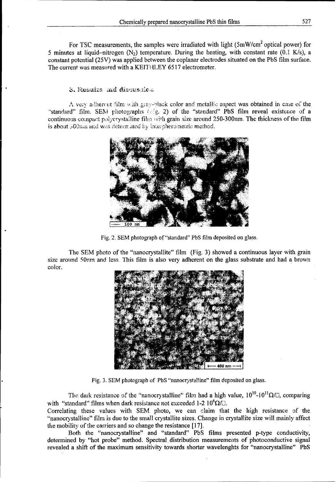For TSC measurements, the samples were irradiated with light (5mW/cm<sup>2</sup> optical power) for 5 minutes at liquid-nitrogen  $(N_2)$  temperature. During the heating, with constant rate (0.1 K/s), a constant potential (25V) was applied between the coplanar electrodes situated on the PbS film surface. The current was measured with a KEITHLEY 6517 electrometer.

### 3. Results and discussion

A very adherent film with gray-black color and metallic aspect was obtained in case of the "standard" film. SEM photographs (cig. 2) of the "standard" PbS film reveal existence of a continuous compact polycrystalline film with grain size around 250-300nm. The thickness of the film is about 500mm and was determined by interpherometric method.



Fig. 2. SEM photograph of "standard" PbS film deposited on glass.

The SEM photo of the "nanocrystallite" film (Fig. 3) showed a continuous layer with grain size around 50nm and less. This film is also very adherent on the glass substrate and had a brown color.



Fig. 3. SEM photograph of PbS "nanocrystalline" film deposited on glass.

The dark resistance of the "nanocrystalline" film had a high value,  $10^{10}$ - $10^{11}$  $\Omega$ / $\Box$ , comparing with "standard" films when dark resistance not exceeded 1-2  $10^6 \Omega / \Omega$ .

Correlating these values with SEM photo, we can claim that the high resistance of the. "nanocrystalline" film is due to the small crystallite sizes. Change in crystallite size will mainly affect the mobility of the carriers and so change the resistance [17].

Both the "nanocrystalline" and "standard" PbS films presented p-type conductivity, determined by "hot probe" method. Spectral distribution measurements of photoconductive signal revealed a shift of the maximum sensitivity towards shorter wavelenghts for "nanocrystalline" PbS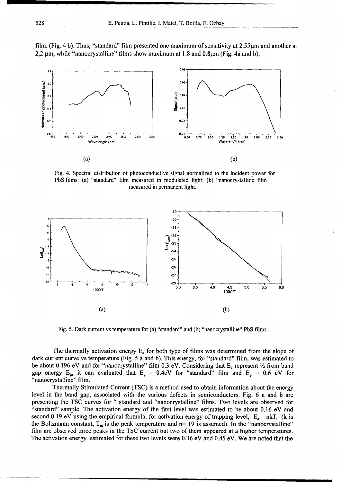

film. (Fig. 4 b). Thus, "standard" film presented one maximum of sensitivity at 2.55  $\mu$ m and another at  $2,2 \mu$ m, while "nanocrystalline" films show maximum at 1.8 and 0.8 $\mu$ m (Fig. 4a and b).

Fig. 4. Spectral distribution of photoconductive signal normalized to the incident power for PbS films: (a) "standard" film measured in modulated light; (b) "nanocrystalline film measured in permanent light.



Fig. 5. Dark current vs temperature for (a) "standard" and (b) "nanocrystalline" PbS films.

The thermally activation energy  $E_a$  for both type of films was determined from the slope of dark current curve vs temperature (Fig. 5 a and b). This energy, for "standard" film, was estimated to be about 0.196 eV and for "nanocrystalline" film 0.3 eV. Considering that  $E_a$  represent  $\frac{1}{2}$  from band gap energy  $E_g$ , it can evaluated that  $E_g = 0.4$ eV for "standard" film and  $E_g = 0.6$  eV for "nanocrystalline" film.

Thermally Stimulated Current (TSC) is a method used to obtain information about the energy level in the band gap, associated with the various defects in semiconductors. Fig. 6 a and b are presenting the TSC curves for **"** standard and "nanocrystalline" films. Two levels are observed for "standard" sample. The activation energy of the first level was estimated to be about 0.16 eV and second 0.19 eV using the empirical formula, for activation energy of trapping level,  $E_a = nkT_m$  (k is the Boltzmann constant,  $T_m$  is the peak temperature and n= 19 is assumed). In the "nanocrystalline" film are observed three peaks in the TSC current but two of them appeared at a higher temperatures. The activation energy estimated for these two levels were 0.36 eV and 0.45 eV. We are noted that the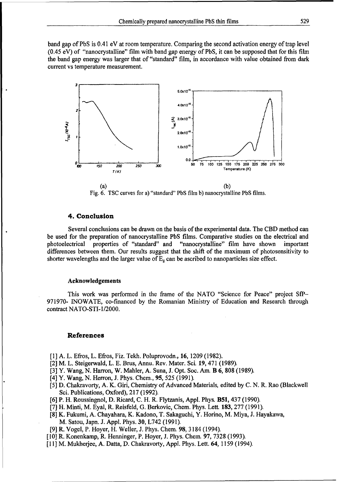band gap of PbS is 0.41 eV at room temperature. Comparing the second activation energy of trap level (0.45 eV) of "nanocrystalline" film with band gap energy of PbS, it can be supposed that for this film the band gap energy was larger that of "standard" film, in accordance with value obtained from dark current vs temperature measurement.



Fig. 6. TSC curves for a) "standard" PbS film b) nanocrystalline PbS films.

#### 4. Conclusion

Several conclusions can be drawn on the basis of the experimental data. The CBD method can be used for the preparation of nanocrystalline PbS films. Comparative studies on the electrical and photoelectrical properties of "standard" and "nanocrystalline" film have shown important differences between them. Our results suggest that the shift of the maximum of photosensitivity to shorter wavelengths and the larger value of  $E_g$  can be ascribed to nanoparticles size effect.

#### Acknowledgements

This work was performed in the frame of the NATO "Science for Peace" project **SfP-**971970- INOWATE, co-financed by the Romanian Ministry of Education and Research through contract NATO-STI- 1/2000.

#### References

- [1] A. L. Efros, L. Efros, Fiz. Tekh. Poluprovodn., **16,** 1209 (1982).
- [2] M. L. Steigerwald, L. E. Brus, Annu. Rev. Mater. Sci. 19, 471 (1989).
- [3] Y. Wang, N. Harron, W. Mahler, A. Suna, J. Opt. Soc. Am. B 6, 808 (1989).
- [4] Y. Wang, N. Herron, J. Phys. Chem., 95, 525 (1991).
- [5] D. Chakravorty, A. K. Giri, Chemistry of Advanced Materials, edited by C. N. R. Rao (Blackwell Sci. Publications, Oxford), 217 (1992).
- [6] P. H. Roussingnol, D. Ricard, C. H. R. Flytzanis, Appl. Phys. B51, 437 (1990).
- [7] H. Minti, M. Eyal, R. Reisfeld, G. Berkovic, Chem. Phys. Lett 183, 277 (1991).
- [8] K. Fukumi, A. Chayahara, K. Kadono, T. Sakaguchi, Y. Horino, M. Miya, **J.** Hayakawa, M. Satou, Japn. J. Appl. Phys. 30, L742 (1991).
- [9] R. Vogel, P. Hoyer, H. Weller, J. Phys. Chem. 98, 3184 (1994).
- [10] R. Konenkamp, R. Henninger, P. Hoyer, J. Phys. Chem. 97, 7328 (1993).
- [11] M. Mukherjee, A. Datta, D. Chakravorty, Appl. Phys. Lett. 64, 1159 (1994).